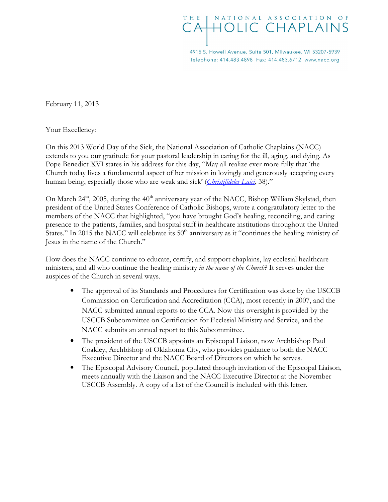## NATIONAL ASSOCIATION OF THF **HOLIC CHAPLAINS**

4915 S. Howell Avenue, Suite 501, Milwaukee, WI 53207-5939 Telephone: 414.483.4898 Fax: 414.483.6712 www.nacc.org

February 11, 2013

Your Excellency:

On this 2013 World Day of the Sick, the National Association of Catholic Chaplains (NACC) extends to you our gratitude for your pastoral leadership in caring for the ill, aging, and dying. As Pope Benedict XVI states in his address for this day, "May all realize ever more fully that 'the Church today lives a fundamental aspect of her mission in lovingly and generously accepting every human being, especially those who are weak and sick' (Christifideles Laici, 38)."

On March 24<sup>th</sup>, 2005, during the  $40<sup>th</sup>$  anniversary year of the NACC, Bishop William Skylstad, then president of the United States Conference of Catholic Bishops, wrote a congratulatory letter to the members of the NACC that highlighted, "you have brought God's healing, reconciling, and caring presence to the patients, families, and hospital staff in healthcare institutions throughout the United States." In 2015 the NACC will celebrate its 50<sup>th</sup> anniversary as it "continues the healing ministry of Jesus in the name of the Church."

How does the NACC continue to educate, certify, and support chaplains, lay ecclesial healthcare ministers, and all who continue the healing ministry in the name of the Church? It serves under the auspices of the Church in several ways.

- The approval of its Standards and Procedures for Certification was done by the USCCB Commission on Certification and Accreditation (CCA), most recently in 2007, and the NACC submitted annual reports to the CCA. Now this oversight is provided by the USCCB Subcommittee on Certification for Ecclesial Ministry and Service, and the NACC submits an annual report to this Subcommittee.
- The president of the USCCB appoints an Episcopal Liaison, now Archbishop Paul Coakley, Archbishop of Oklahoma City, who provides guidance to both the NACC Executive Director and the NACC Board of Directors on which he serves.
- The Episcopal Advisory Council, populated through invitation of the Episcopal Liaison, meets annually with the Liaison and the NACC Executive Director at the November USCCB Assembly. A copy of a list of the Council is included with this letter.